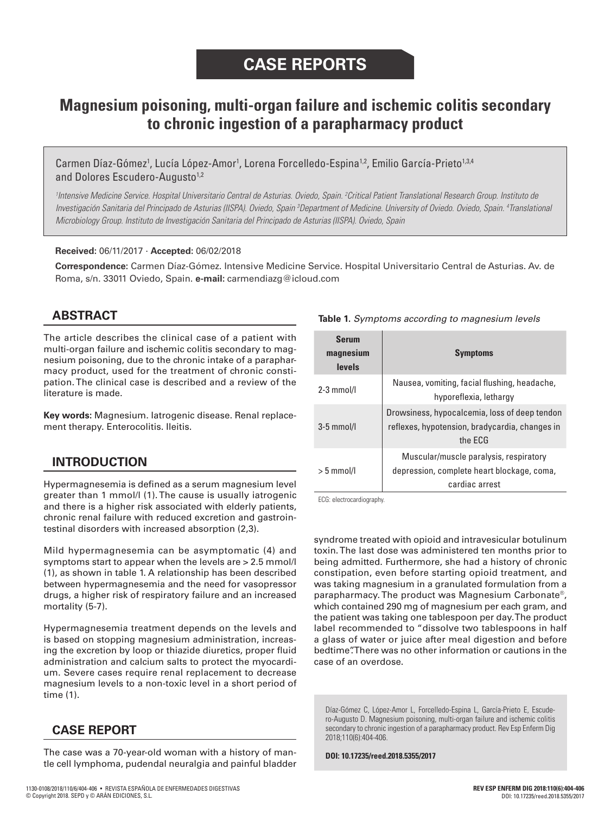# **Magnesium poisoning, multi-organ failure and ischemic colitis secondary to chronic ingestion of a parapharmacy product**

Carmen Díaz-Gómez<sup>1</sup>, Lucía López-Amor<sup>1</sup>, Lorena Forcelledo-Espina<sup>1,2</sup>, Emilio García-Prieto<sup>1,3,4</sup> and Dolores Escudero-Augusto<sup>1,2</sup>

*1 Intensive Medicine Service. Hospital Universitario Central de Asturias. Oviedo, Spain. 2 Critical Patient Translational Research Group. Instituto de Investigación Sanitaria del Principado de Asturias (IISPA). Oviedo, Spain 3 Department of Medicine. University of Oviedo. Oviedo, Spain. 4 Translational Microbiology Group. Instituto de Investigación Sanitaria del Principado de Asturias (IISPA). Oviedo, Spain*

### **Received:** 06/11/2017 · **Accepted:** 06/02/2018

**Correspondence:** Carmen Díaz-Gómez. Intensive Medicine Service. Hospital Universitario Central de Asturias. Av. de Roma, s/n. 33011 Oviedo, Spain. **e-mail:** carmendiazg@icloud.com

# **ABSTRACT**

The article describes the clinical case of a patient with multi-organ failure and ischemic colitis secondary to magnesium poisoning, due to the chronic intake of a parapharmacy product, used for the treatment of chronic constipation. The clinical case is described and a review of the literature is made.

**Key words:** Magnesium. Iatrogenic disease. Renal replacement therapy. Enterocolitis. Ileitis.

# **INTRODUCTION**

Hypermagnesemia is defined as a serum magnesium level greater than 1 mmol/l (1). The cause is usually iatrogenic and there is a higher risk associated with elderly patients, chronic renal failure with reduced excretion and gastrointestinal disorders with increased absorption (2,3).

Mild hypermagnesemia can be asymptomatic (4) and symptoms start to appear when the levels are > 2.5 mmol/l (1), as shown in table 1. A relationship has been described between hypermagnesemia and the need for vasopressor drugs, a higher risk of respiratory failure and an increased mortality (5-7).

Hypermagnesemia treatment depends on the levels and is based on stopping magnesium administration, increasing the excretion by loop or thiazide diuretics, proper fluid administration and calcium salts to protect the myocardium. Severe cases require renal replacement to decrease magnesium levels to a non-toxic level in a short period of time (1).

## **CASE REPORT**

The case was a 70-year-old woman with a history of mantle cell lymphoma, pudendal neuralgia and painful bladder

#### **Table 1.** *Symptoms according to magnesium levels*

| <b>Serum</b><br>magnesium<br><b>levels</b> | <b>Symptoms</b>                                                                                            |
|--------------------------------------------|------------------------------------------------------------------------------------------------------------|
| $2-3$ mmol/l                               | Nausea, vomiting, facial flushing, headache,<br>hyporeflexia, lethargy                                     |
| $3-5$ mmol/l                               | Drowsiness, hypocalcemia, loss of deep tendon<br>reflexes, hypotension, bradycardia, changes in<br>the FCG |
| $> 5$ mmol/l                               | Muscular/muscle paralysis, respiratory<br>depression, complete heart blockage, coma,<br>cardiac arrest     |

ECG: electrocardiography.

syndrome treated with opioid and intravesicular botulinum toxin. The last dose was administered ten months prior to being admitted. Furthermore, she had a history of chronic constipation, even before starting opioid treatment, and was taking magnesium in a granulated formulation from a parapharmacy. The product was Magnesium Carbonate®, which contained 290 mg of magnesium per each gram, and the patient was taking one tablespoon per day. The product label recommended to "dissolve two tablespoons in half a glass of water or juice after meal digestion and before bedtime". There was no other information or cautions in the case of an overdose.

Díaz-Gómez C, López-Amor L, Forcelledo-Espina L, García-Prieto E, Escudero-Augusto D. Magnesium poisoning, multi-organ failure and ischemic colitis secondary to chronic ingestion of a parapharmacy product. Rev Esp Enferm Dig 2018;110(6):404-406.

**DOI: 10.17235/reed.2018.5355/2017**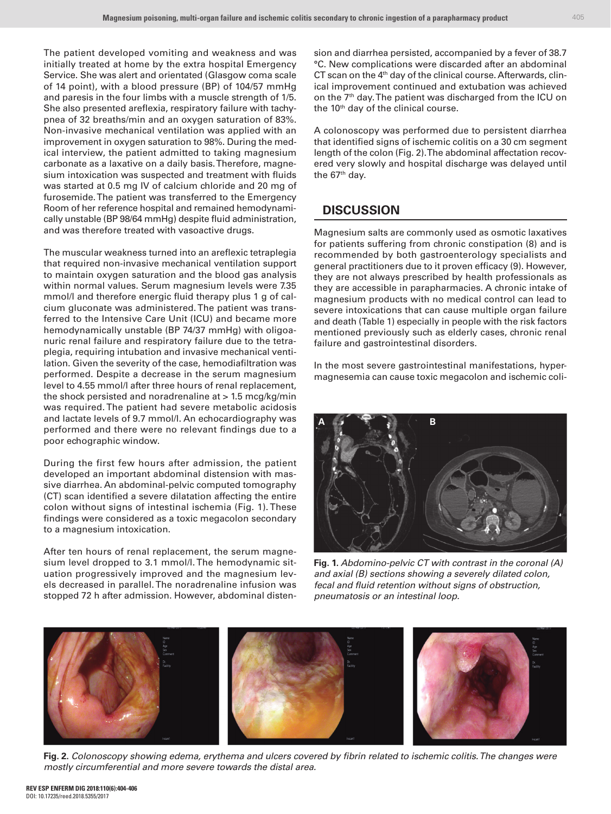The patient developed vomiting and weakness and was initially treated at home by the extra hospital Emergency Service. She was alert and orientated (Glasgow coma scale of 14 point), with a blood pressure (BP) of 104/57 mmHg and paresis in the four limbs with a muscle strength of 1/5. She also presented areflexia, respiratory failure with tachypnea of 32 breaths/min and an oxygen saturation of 83%. Non-invasive mechanical ventilation was applied with an improvement in oxygen saturation to 98%. During the medical interview, the patient admitted to taking magnesium carbonate as a laxative on a daily basis. Therefore, magnesium intoxication was suspected and treatment with fluids was started at 0.5 mg IV of calcium chloride and 20 mg of furosemide. The patient was transferred to the Emergency Room of her reference hospital and remained hemodynamically unstable (BP 98/64 mmHg) despite fluid administration, and was therefore treated with vasoactive drugs.

The muscular weakness turned into an areflexic tetraplegia that required non-invasive mechanical ventilation support to maintain oxygen saturation and the blood gas analysis within normal values. Serum magnesium levels were 7.35 mmol/l and therefore energic fluid therapy plus 1 g of calcium gluconate was administered. The patient was transferred to the Intensive Care Unit (ICU) and became more hemodynamically unstable (BP 74/37 mmHg) with oligoanuric renal failure and respiratory failure due to the tetraplegia, requiring intubation and invasive mechanical ventilation. Given the severity of the case, hemodiafiltration was performed. Despite a decrease in the serum magnesium level to 4.55 mmol/l after three hours of renal replacement, the shock persisted and noradrenaline at > 1.5 mcg/kg/min was required. The patient had severe metabolic acidosis and lactate levels of 9.7 mmol/l. An echocardiography was performed and there were no relevant findings due to a poor echographic window.

During the first few hours after admission, the patient developed an important abdominal distension with massive diarrhea. An abdominal-pelvic computed tomography (CT) scan identified a severe dilatation affecting the entire colon without signs of intestinal ischemia (Fig. 1). These findings were considered as a toxic megacolon secondary to a magnesium intoxication.

After ten hours of renal replacement, the serum magnesium level dropped to 3.1 mmol/l. The hemodynamic situation progressively improved and the magnesium levels decreased in parallel. The noradrenaline infusion was stopped 72 h after admission. However, abdominal distension and diarrhea persisted, accompanied by a fever of 38.7 °C. New complications were discarded after an abdominal CT scan on the 4<sup>th</sup> day of the clinical course. Afterwards, clinical improvement continued and extubation was achieved on the 7<sup>th</sup> day. The patient was discharged from the ICU on the 10<sup>th</sup> day of the clinical course.

A colonoscopy was performed due to persistent diarrhea that identified signs of ischemic colitis on a 30 cm segment length of the colon (Fig. 2). The abdominal affectation recovered very slowly and hospital discharge was delayed until the 67<sup>th</sup> day.

# **DISCUSSION**

Magnesium salts are commonly used as osmotic laxatives for patients suffering from chronic constipation (8) and is recommended by both gastroenterology specialists and general practitioners due to it proven efficacy (9). However, they are not always prescribed by health professionals as they are accessible in parapharmacies. A chronic intake of magnesium products with no medical control can lead to severe intoxications that can cause multiple organ failure and death (Table 1) especially in people with the risk factors mentioned previously such as elderly cases, chronic renal failure and gastrointestinal disorders.

In the most severe gastrointestinal manifestations, hypermagnesemia can cause toxic megacolon and ischemic coli-



**Fig. 1.** *Abdomino-pelvic CT with contrast in the coronal (A) and axial (B) sections showing a severely dilated colon, fecal and fluid retention without signs of obstruction, pneumatosis or an intestinal loop.* 



**Fig. 2.** *Colonoscopy showing edema, erythema and ulcers covered by fibrin related to ischemic colitis. The changes were mostly circumferential and more severe towards the distal area.*